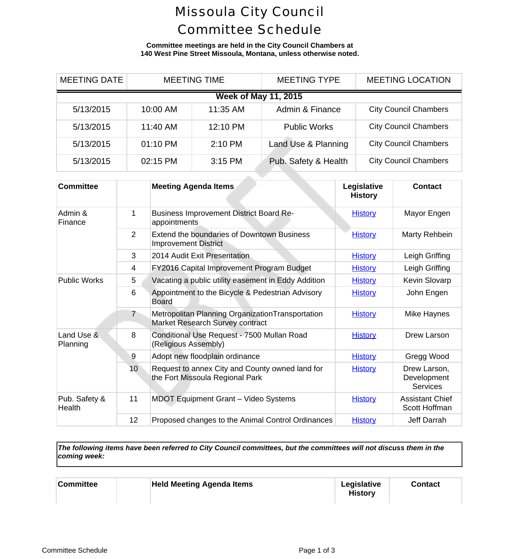## Missoula City Council Committee Schedule

**Committee meetings are held in the City Council Chambers at 140 West Pine Street Missoula, Montana, unless otherwise noted.**

| <b>MEETING DATE</b>         | <b>MEETING TIME</b> |          | <b>MEETING TYPE</b>  | <b>MEETING LOCA</b>      |  |  |
|-----------------------------|---------------------|----------|----------------------|--------------------------|--|--|
| <b>Week of May 11, 2015</b> |                     |          |                      |                          |  |  |
| 5/13/2015                   | 10:00 AM            | 11:35 AM | Admin & Finance      | <b>City Council Cham</b> |  |  |
| 5/13/2015                   | 11:40 AM            | 12:10 PM | <b>Public Works</b>  | <b>City Council Cham</b> |  |  |
| 5/13/2015                   | 01:10 PM            | 2:10 PM  | Land Use & Planning  | <b>City Council Cham</b> |  |  |
| 5/13/2015                   | 02:15 PM            | 3:15 PM  | Pub. Safety & Health | <b>City Council Cham</b> |  |  |

 $\Delta\Delta\omega$ 

| <b>Committee</b>        |                 | <b>Meeting Agenda Items</b>                                                          | Legislative<br><b>History</b> | <b>Cont</b>                  |
|-------------------------|-----------------|--------------------------------------------------------------------------------------|-------------------------------|------------------------------|
| Admin &<br>Finance      | 1               | <b>Business Improvement District Board Re-</b><br>appointments                       | <b>History</b>                | Mayor E                      |
|                         | 2               | <b>Extend the boundaries of Downtown Business</b><br><b>Improvement District</b>     | <b>History</b>                | Marty Re                     |
|                         | 3               | 2014 Audit Exit Presentation                                                         | <b>History</b>                | Leigh G                      |
|                         | 4               | FY2016 Capital Improvement Program Budget                                            | <b>History</b>                | Leigh G                      |
| <b>Public Works</b>     | 5               | Vacating a public utility easement in Eddy Addition                                  | <b>History</b>                | Kevin SI                     |
|                         | 6               | Appointment to the Bicycle & Pedestrian Advisory<br><b>Board</b>                     | <b>History</b>                | John El                      |
|                         | $\overline{7}$  | Metropolitan Planning Organization Transportation<br>Market Research Survey contract | <b>History</b>                | Mike Ha                      |
| Land Use &<br>Planning  | 8               | Conditional Use Request - 7500 Mullan Road<br>(Religious Assembly)                   | <b>History</b>                | Drew La                      |
|                         | 9               | Adopt new floodplain ordinance                                                       | <b>History</b>                | Gregg \                      |
|                         | 10              | Request to annex City and County owned land for<br>the Fort Missoula Regional Park   | <b>History</b>                | Drew La<br>Develop<br>Servio |
| Pub. Safety &<br>Health | 11              | <b>MDOT Equipment Grant - Video Systems</b>                                          | <b>History</b>                | Assistant<br>Scott Ho        |
|                         | 12 <sub>2</sub> | Proposed changes to the Animal Control Ordinances                                    | <b>History</b>                | Jeff Da                      |

*The following items have been referred to City Council committees, but the committees will not discuss them in the coming week:*

| <b>Committee</b> | <b>Held Meeting Agenda Items</b> | Legislative<br><b>History</b> | Conta |
|------------------|----------------------------------|-------------------------------|-------|
|                  |                                  |                               |       |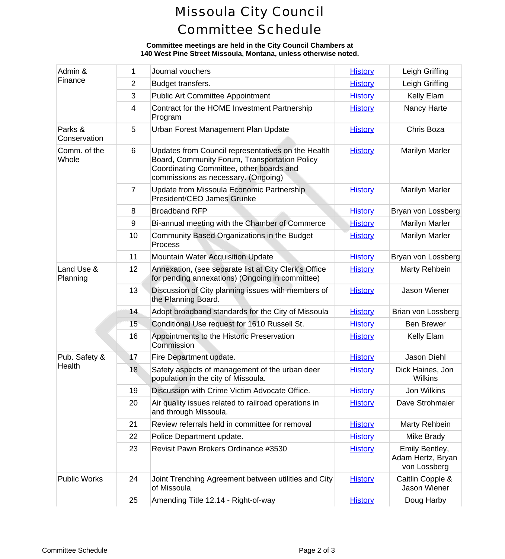## Missoula City Council Committee Schedule

## **Committee meetings are held in the City Council Chambers at 140 West Pine Street Missoula, Montana, unless otherwise noted.**

| Admin &<br>Finance      | 1              | Journal vouchers                                                                                                                                                                       | <b>History</b> | Leigh Gr                                          |
|-------------------------|----------------|----------------------------------------------------------------------------------------------------------------------------------------------------------------------------------------|----------------|---------------------------------------------------|
|                         | $\overline{2}$ | Budget transfers.                                                                                                                                                                      | <b>History</b> | Leigh Gr                                          |
|                         | 3              | <b>Public Art Committee Appointment</b>                                                                                                                                                | <b>History</b> | Kelly E                                           |
|                         | 4              | Contract for the HOME Investment Partnership<br>Program                                                                                                                                | <b>History</b> | Nancy H                                           |
| Parks &<br>Conservation | 5              | Urban Forest Management Plan Update                                                                                                                                                    | <b>History</b> | Chris B                                           |
| Comm. of the<br>Whole   | 6              | Updates from Council representatives on the Health<br>Board, Community Forum, Transportation Policy<br>Coordinating Committee, other boards and<br>commissions as necessary. (Ongoing) | <b>History</b> | Marilyn N                                         |
|                         | $\overline{7}$ | Update from Missoula Economic Partnership<br>President/CEO James Grunke                                                                                                                | <b>History</b> | Marilyn N                                         |
|                         | 8              | <b>Broadband RFP</b>                                                                                                                                                                   | <b>History</b> | Bryan von L                                       |
|                         | 9              | Bi-annual meeting with the Chamber of Commerce                                                                                                                                         | <b>History</b> | Marilyn N                                         |
|                         | 10             | Community Based Organizations in the Budget<br>Process                                                                                                                                 | <b>History</b> | Marilyn N                                         |
|                         | 11             | <b>Mountain Water Acquisition Update</b>                                                                                                                                               | <b>History</b> | Bryan von L                                       |
| Land Use &<br>Planning  | 12             | Annexation, (see separate list at City Clerk's Office<br>for pending annexations) (Ongoing in committee)                                                                               | <b>History</b> | <b>Marty Re</b>                                   |
|                         | 13             | Discussion of City planning issues with members of<br>the Planning Board.                                                                                                              | <b>History</b> | Jason W                                           |
|                         | 14             | Adopt broadband standards for the City of Missoula                                                                                                                                     | <b>History</b> | Brian von L                                       |
|                         | 15             | Conditional Use request for 1610 Russell St.                                                                                                                                           | <b>History</b> | Ben Bre                                           |
|                         | 16             | Appointments to the Historic Preservation<br>Commission                                                                                                                                | <b>History</b> | Kelly E                                           |
| Pub. Safety &<br>Health | 17             | Fire Department update.                                                                                                                                                                | <b>History</b> | Jason D                                           |
|                         | 18             | Safety aspects of management of the urban deer<br>population in the city of Missoula.                                                                                                  | <b>History</b> | <b>Dick Haine</b><br>Wilkir                       |
|                         | 19             | Discussion with Crime Victim Advocate Office.                                                                                                                                          | <b>History</b> | Jon Wil                                           |
|                         | 20             | Air quality issues related to railroad operations in<br>and through Missoula.                                                                                                          | <b>History</b> | Dave Stro                                         |
|                         | 21             | Review referrals held in committee for removal                                                                                                                                         | <b>History</b> | <b>Marty Re</b>                                   |
|                         | 22             | Police Department update.                                                                                                                                                              | <b>History</b> | Mike Br                                           |
|                         | 23             | Revisit Pawn Brokers Ordinance #3530                                                                                                                                                   | <b>History</b> | <b>Emily Bel</b><br><b>Adam Hertz</b><br>von Loss |
| <b>Public Works</b>     | 24             | Joint Trenching Agreement between utilities and City<br>of Missoula                                                                                                                    | <b>History</b> | Caitlin Col<br>Jason W                            |
|                         | 25             | Amending Title 12.14 - Right-of-way                                                                                                                                                    | <b>History</b> | Doug H                                            |